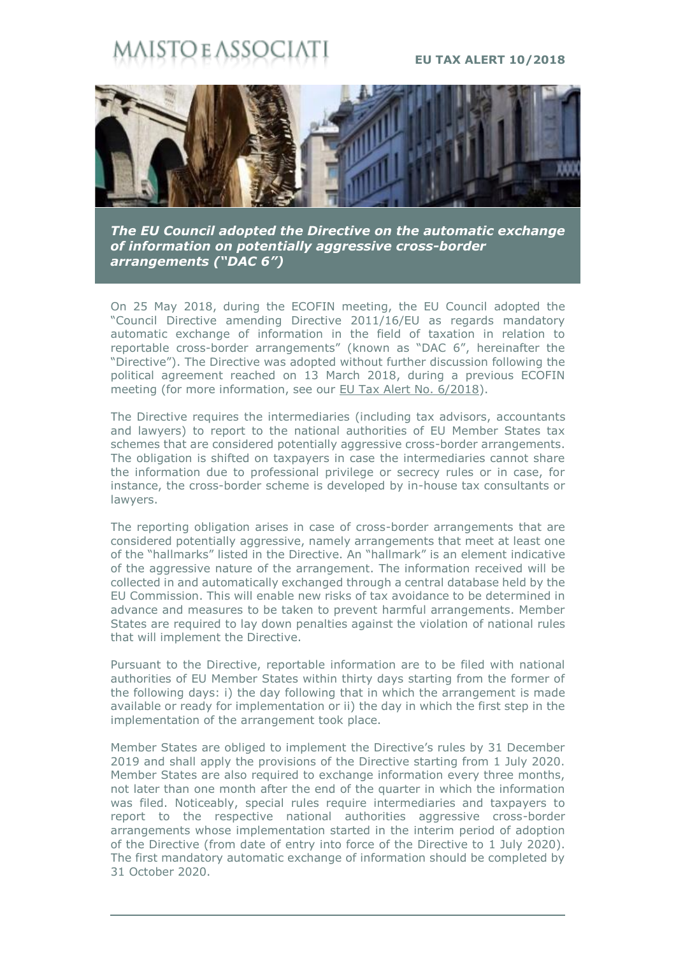## STO E ASSOC

## **EU TAX ALERT 10/2018**



*The EU Council adopted the Directive on the automatic exchange of information on potentially aggressive cross-border arrangements ("DAC 6")*

On 25 May 2018, during the ECOFIN meeting, the EU Council adopted the "Council Directive amending Directive 2011/16/EU as regards mandatory automatic exchange of information in the field of taxation in relation to reportable cross-border arrangements" (known as "DAC 6", hereinafter the "Directive"). The Directive was adopted without further discussion following the political agreement reached on 13 March 2018, during a previous ECOFIN meeting (for more information, see our [EU Tax Alert No. 6/2018\)](http://www.maisto.it/en/newsletter/eu-tax-alert--38.html).

The Directive requires the intermediaries (including tax advisors, accountants and lawyers) to report to the national authorities of EU Member States tax schemes that are considered potentially aggressive cross-border arrangements. The obligation is shifted on taxpayers in case the intermediaries cannot share the information due to professional privilege or secrecy rules or in case, for instance, the cross-border scheme is developed by in-house tax consultants or lawyers.

The reporting obligation arises in case of cross-border arrangements that are considered potentially aggressive, namely arrangements that meet at least one of the "hallmarks" listed in the Directive. An "hallmark" is an element indicative of the aggressive nature of the arrangement. The information received will be collected in and automatically exchanged through a central database held by the EU Commission. This will enable new risks of tax avoidance to be determined in advance and measures to be taken to prevent harmful arrangements. Member States are required to lay down penalties against the violation of national rules that will implement the Directive.

Pursuant to the Directive, reportable information are to be filed with national authorities of EU Member States within thirty days starting from the former of the following days: i) the day following that in which the arrangement is made available or ready for implementation or ii) the day in which the first step in the implementation of the arrangement took place.

Member States are obliged to implement the Directive's rules by 31 December 2019 and shall apply the provisions of the Directive starting from 1 July 2020. Member States are also required to exchange information every three months, not later than one month after the end of the quarter in which the information was filed. Noticeably, special rules require intermediaries and taxpayers to report to the respective national authorities aggressive cross-border arrangements whose implementation started in the interim period of adoption of the Directive (from date of entry into force of the Directive to 1 July 2020). The first mandatory automatic exchange of information should be completed by 31 October 2020.